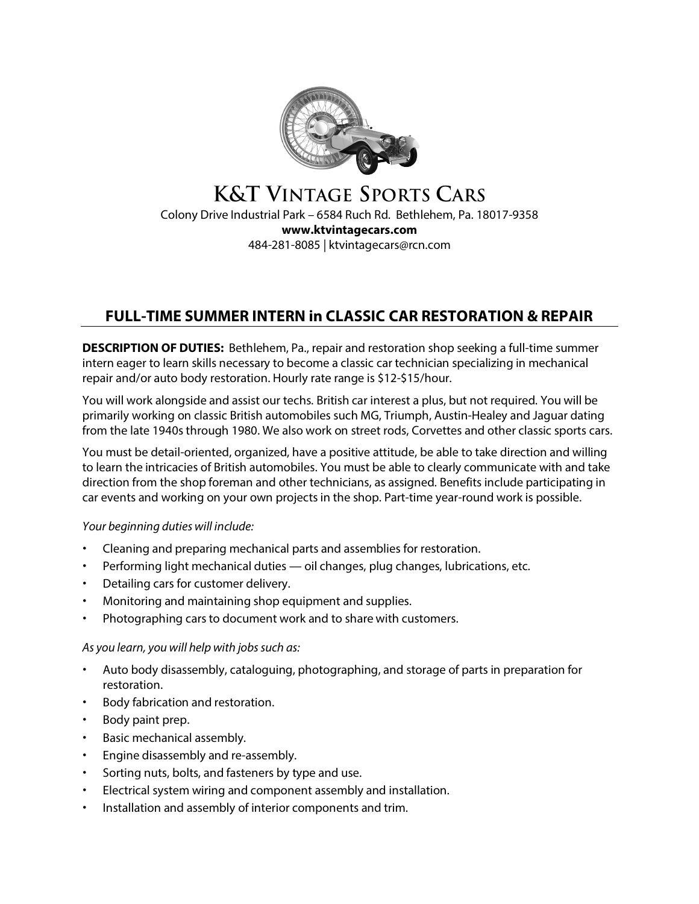

# **K&T VINTAGE SPORTS CARS** Colony Drive Industrial Park – 6584 Ruch Rd. Bethlehem, Pa. 18017-9358 **www.ktvintagecars.com** 484-281-8085 | ktvintagecars@rcn.com

# **FULL-TIME SUMMER INTERN in CLASSIC CAR RESTORATION & REPAIR**

**DESCRIPTION OF DUTIES:** Bethlehem, Pa., repair and restoration shop seeking a full-time summer intern eager to learn skills necessary to become a classic car technician specializing in mechanical repair and/or auto body restoration. Hourly rate range is \$12-\$15/hour.

You will work alongside and assist our techs. British car interest a plus, but not required. You will be primarily working on classic British automobiles such MG, Triumph, Austin-Healey and Jaguar dating from the late 1940s through 1980. We also work on street rods, Corvettes and other classic sports cars.

You must be detail-oriented, organized, have a positive attitude, be able to take direction and willing to learn the intricacies of British automobiles. You must be able to clearly communicate with and take direction from the shop foreman and other technicians, as assigned. Benefits include participating in car events and working on your own projects in the shop. Part-time year-round work is possible.

# *Your beginning duties will include:*

- Cleaning and preparing mechanical parts and assemblies for restoration.
- Performing light mechanical duties oil changes, plug changes, lubrications, etc.
- Detailing cars for customer delivery.
- Monitoring and maintaining shop equipment and supplies.
- Photographing cars to document work and to share with customers.

#### *As* you *learn*, you will help with jobs such as:

- Auto body disassembly, cataloguing, photographing, and storage of parts in preparation for restoration.
- Body fabrication and restoration.
- Body paint prep.
- Basic mechanical assembly.
- Engine disassembly and re-assembly.
- Sorting nuts, bolts, and fasteners by type and use.
- Electrical system wiring and component assembly and installation.
- Installation and assembly of interior components and trim.